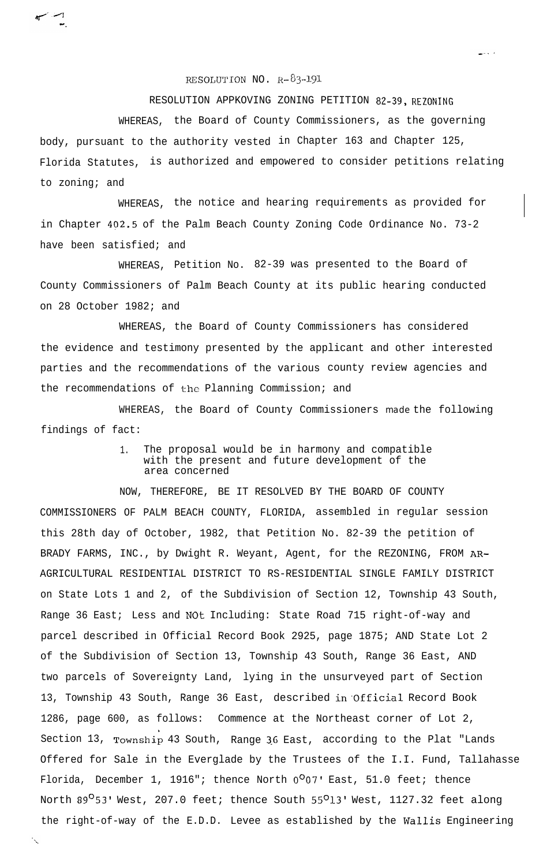RESOLUTION NO.  $R-\delta$ 3-191

RESOLUTION APPKOVING ZONING PETITION 82-39, REZONING

WHEREAS, the Board of County Commissioners, as the governing body, pursuant to the authority vested in Chapter 163 and Chapter 125, Florida Statutes, is authorized and empowered to consider petitions relating to zoning; and

WHEREAS, the notice and hearing requirements as provided for in Chapter 402.5 of the Palm Beach County Zoning Code Ordinance No. 73-2 have been satisfied; and

WHEREAS, Petition No. 82-39 was presented to the Board of County Commissioners of Palm Beach County at its public hearing conducted on 28 October 1982; and

WHEREAS, the Board of County Commissioners has considered the evidence and testimony presented by the applicant and other interested parties and the recommendations of the various county review agencies and the recommendations of the Planning Commission; and

WHEREAS, the Board of County Commissioners made the following findings of fact:

> 1. The proposal would be in harmony and compatible with the present and future development of the area concerned

NOW, THEREFORE, BE IT RESOLVED BY THE BOARD OF COUNTY COMMISSIONERS OF PALM BEACH COUNTY, FLORIDA, assembled in regular session this 28th day of October, 1982, that Petition No. 82-39 the petition of BRADY FARMS, INC., by Dwight R. Weyant, Agent, for the REZONING, FROM AR-AGRICULTURAL RESIDENTIAL DISTRICT TO RS-RESIDENTIAL SINGLE FAMILY DISTRICT on State Lots 1 and 2, of the Subdivision of Section 12, Township 43 South, Range 36 East; Less and NOt Including: State Road 715 right-of-way and parcel described in Official Record Book 2925, page 1875; AND State Lot 2 of the Subdivision of Section 13, Township 43 South, Range 36 East, AND two parcels of Sovereignty Land, lying in the unsurveyed part of Section 13, Township 43 South, Range 36 East, described in Official Record Book 1286, page 600, as follows: Commence at the Northeast corner of Lot 2, Section 13, Township 43 South, Range 36 East, according to the Plat "Lands Offered for Sale in the Everglade by the Trustees of the I.I. Fund, Tallahasse Florida, December 1, 1916"; thence North  $0^{\circ}07'$  East, 51.0 feet; thence North 89<sup>O</sup>53' West, 207.0 feet; thence South 55<sup>O</sup>13' West, 1127.32 feet along the right-of-way of the E.D.D. Levee as established by the Wallis Engineering